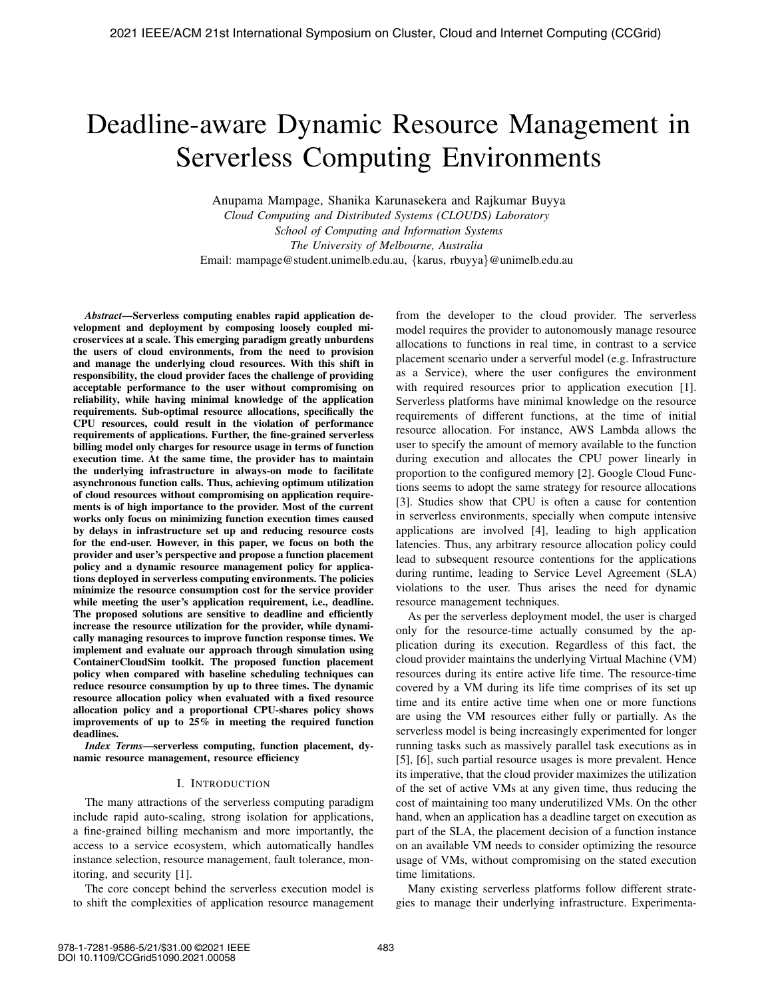# Deadline-aware Dynamic Resource Management in Serverless Computing Environments

Anupama Mampage, Shanika Karunasekera and Rajkumar Buyya

*Cloud Computing and Distributed Systems (CLOUDS) Laboratory School of Computing and Information Systems The University of Melbourne, Australia* Email: mampage@student.unimelb.edu.au, {karus, rbuyya}@unimelb.edu.au

*Abstract*—Serverless computing enables rapid application development and deployment by composing loosely coupled microservices at a scale. This emerging paradigm greatly unburdens the users of cloud environments, from the need to provision and manage the underlying cloud resources. With this shift in responsibility, the cloud provider faces the challenge of providing acceptable performance to the user without compromising on reliability, while having minimal knowledge of the application requirements. Sub-optimal resource allocations, specifically the CPU resources, could result in the violation of performance requirements of applications. Further, the fine-grained serverless billing model only charges for resource usage in terms of function execution time. At the same time, the provider has to maintain the underlying infrastructure in always-on mode to facilitate asynchronous function calls. Thus, achieving optimum utilization of cloud resources without compromising on application requirements is of high importance to the provider. Most of the current works only focus on minimizing function execution times caused by delays in infrastructure set up and reducing resource costs for the end-user. However, in this paper, we focus on both the provider and user's perspective and propose a function placement policy and a dynamic resource management policy for applications deployed in serverless computing environments. The policies minimize the resource consumption cost for the service provider while meeting the user's application requirement, i.e., deadline. The proposed solutions are sensitive to deadline and efficiently increase the resource utilization for the provider, while dynamically managing resources to improve function response times. We implement and evaluate our approach through simulation using ContainerCloudSim toolkit. The proposed function placement policy when compared with baseline scheduling techniques can reduce resource consumption by up to three times. The dynamic resource allocation policy when evaluated with a fixed resource allocation policy and a proportional CPU-shares policy shows improvements of up to 25% in meeting the required function deadlines.

*Index Terms*—serverless computing, function placement, dynamic resource management, resource efficiency

## I. INTRODUCTION

The many attractions of the serverless computing paradigm include rapid auto-scaling, strong isolation for applications, a fine-grained billing mechanism and more importantly, the access to a service ecosystem, which automatically handles instance selection, resource management, fault tolerance, monitoring, and security [1].

The core concept behind the serverless execution model is to shift the complexities of application resource management from the developer to the cloud provider. The serverless model requires the provider to autonomously manage resource allocations to functions in real time, in contrast to a service placement scenario under a serverful model (e.g. Infrastructure as a Service), where the user configures the environment with required resources prior to application execution [1]. Serverless platforms have minimal knowledge on the resource requirements of different functions, at the time of initial resource allocation. For instance, AWS Lambda allows the user to specify the amount of memory available to the function during execution and allocates the CPU power linearly in proportion to the configured memory [2]. Google Cloud Functions seems to adopt the same strategy for resource allocations [3]. Studies show that CPU is often a cause for contention in serverless environments, specially when compute intensive applications are involved [4], leading to high application latencies. Thus, any arbitrary resource allocation policy could lead to subsequent resource contentions for the applications during runtime, leading to Service Level Agreement (SLA) violations to the user. Thus arises the need for dynamic resource management techniques.

As per the serverless deployment model, the user is charged only for the resource-time actually consumed by the application during its execution. Regardless of this fact, the cloud provider maintains the underlying Virtual Machine (VM) resources during its entire active life time. The resource-time covered by a VM during its life time comprises of its set up time and its entire active time when one or more functions are using the VM resources either fully or partially. As the serverless model is being increasingly experimented for longer running tasks such as massively parallel task executions as in [5], [6], such partial resource usages is more prevalent. Hence its imperative, that the cloud provider maximizes the utilization of the set of active VMs at any given time, thus reducing the cost of maintaining too many underutilized VMs. On the other hand, when an application has a deadline target on execution as part of the SLA, the placement decision of a function instance on an available VM needs to consider optimizing the resource usage of VMs, without compromising on the stated execution time limitations.

Many existing serverless platforms follow different strategies to manage their underlying infrastructure. Experimenta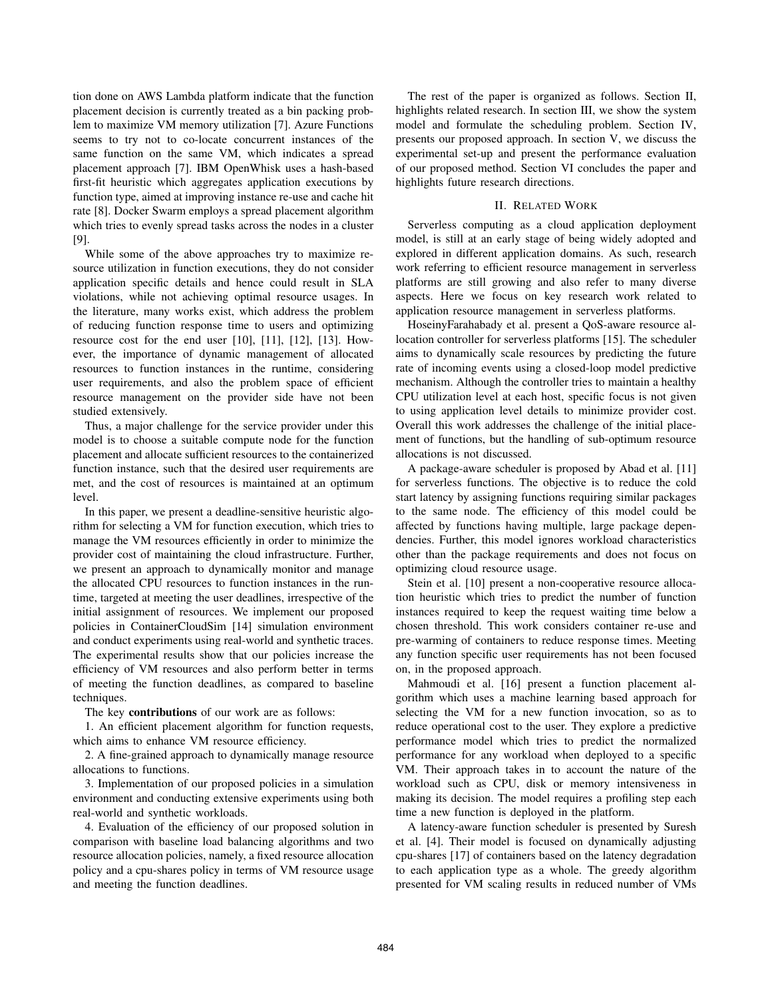tion done on AWS Lambda platform indicate that the function placement decision is currently treated as a bin packing problem to maximize VM memory utilization [7]. Azure Functions seems to try not to co-locate concurrent instances of the same function on the same VM, which indicates a spread placement approach [7]. IBM OpenWhisk uses a hash-based first-fit heuristic which aggregates application executions by function type, aimed at improving instance re-use and cache hit rate [8]. Docker Swarm employs a spread placement algorithm which tries to evenly spread tasks across the nodes in a cluster [9].

While some of the above approaches try to maximize resource utilization in function executions, they do not consider application specific details and hence could result in SLA violations, while not achieving optimal resource usages. In the literature, many works exist, which address the problem of reducing function response time to users and optimizing resource cost for the end user [10], [11], [12], [13]. However, the importance of dynamic management of allocated resources to function instances in the runtime, considering user requirements, and also the problem space of efficient resource management on the provider side have not been studied extensively.

Thus, a major challenge for the service provider under this model is to choose a suitable compute node for the function placement and allocate sufficient resources to the containerized function instance, such that the desired user requirements are met, and the cost of resources is maintained at an optimum level.

In this paper, we present a deadline-sensitive heuristic algorithm for selecting a VM for function execution, which tries to manage the VM resources efficiently in order to minimize the provider cost of maintaining the cloud infrastructure. Further, we present an approach to dynamically monitor and manage the allocated CPU resources to function instances in the runtime, targeted at meeting the user deadlines, irrespective of the initial assignment of resources. We implement our proposed policies in ContainerCloudSim [14] simulation environment and conduct experiments using real-world and synthetic traces. The experimental results show that our policies increase the efficiency of VM resources and also perform better in terms of meeting the function deadlines, as compared to baseline techniques.

The key **contributions** of our work are as follows:

1. An efficient placement algorithm for function requests, which aims to enhance VM resource efficiency.

2. A fine-grained approach to dynamically manage resource allocations to functions.

3. Implementation of our proposed policies in a simulation environment and conducting extensive experiments using both real-world and synthetic workloads.

4. Evaluation of the efficiency of our proposed solution in comparison with baseline load balancing algorithms and two resource allocation policies, namely, a fixed resource allocation policy and a cpu-shares policy in terms of VM resource usage and meeting the function deadlines.

The rest of the paper is organized as follows. Section II, highlights related research. In section III, we show the system model and formulate the scheduling problem. Section IV, presents our proposed approach. In section V, we discuss the experimental set-up and present the performance evaluation of our proposed method. Section VI concludes the paper and highlights future research directions.

## II. RELATED WORK

Serverless computing as a cloud application deployment model, is still at an early stage of being widely adopted and explored in different application domains. As such, research work referring to efficient resource management in serverless platforms are still growing and also refer to many diverse aspects. Here we focus on key research work related to application resource management in serverless platforms.

HoseinyFarahabady et al. present a QoS-aware resource allocation controller for serverless platforms [15]. The scheduler aims to dynamically scale resources by predicting the future rate of incoming events using a closed-loop model predictive mechanism. Although the controller tries to maintain a healthy CPU utilization level at each host, specific focus is not given to using application level details to minimize provider cost. Overall this work addresses the challenge of the initial placement of functions, but the handling of sub-optimum resource allocations is not discussed.

A package-aware scheduler is proposed by Abad et al. [11] for serverless functions. The objective is to reduce the cold start latency by assigning functions requiring similar packages to the same node. The efficiency of this model could be affected by functions having multiple, large package dependencies. Further, this model ignores workload characteristics other than the package requirements and does not focus on optimizing cloud resource usage.

Stein et al. [10] present a non-cooperative resource allocation heuristic which tries to predict the number of function instances required to keep the request waiting time below a chosen threshold. This work considers container re-use and pre-warming of containers to reduce response times. Meeting any function specific user requirements has not been focused on, in the proposed approach.

Mahmoudi et al. [16] present a function placement algorithm which uses a machine learning based approach for selecting the VM for a new function invocation, so as to reduce operational cost to the user. They explore a predictive performance model which tries to predict the normalized performance for any workload when deployed to a specific VM. Their approach takes in to account the nature of the workload such as CPU, disk or memory intensiveness in making its decision. The model requires a profiling step each time a new function is deployed in the platform.

A latency-aware function scheduler is presented by Suresh et al. [4]. Their model is focused on dynamically adjusting cpu-shares [17] of containers based on the latency degradation to each application type as a whole. The greedy algorithm presented for VM scaling results in reduced number of VMs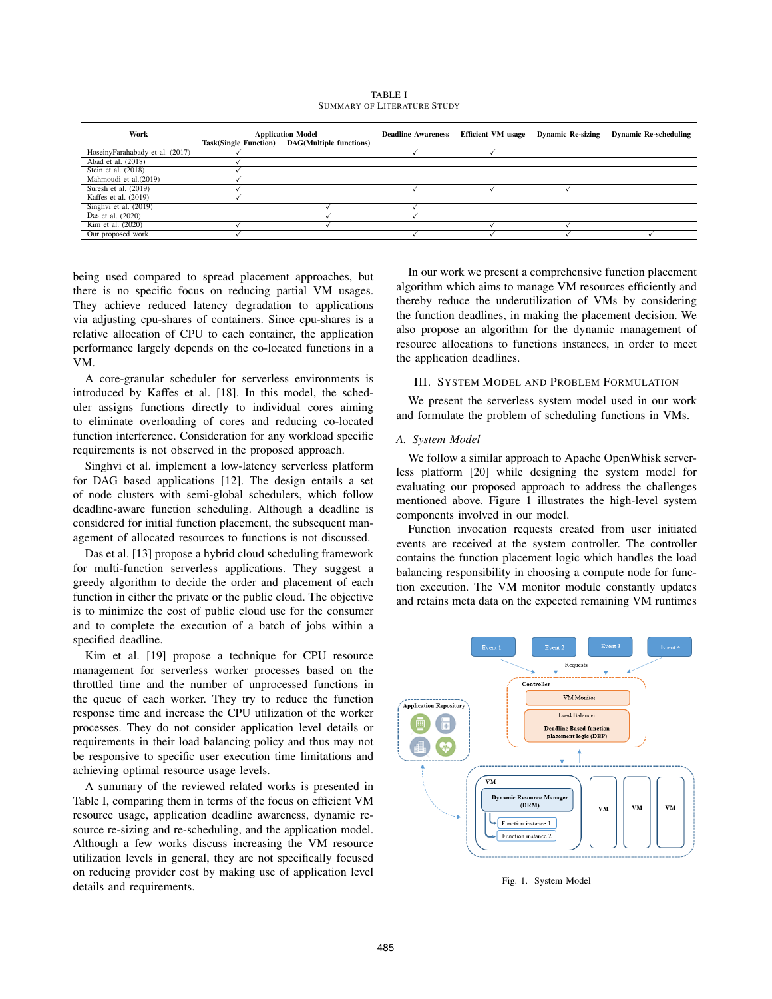TABLE I SUMMARY OF LITERATURE STUDY

| Work                            | <b>Application Model</b><br>Task(Single Function) DAG(Multiple functions) | <b>Deadline Awareness</b> | <b>Efficient VM</b> usage | <b>Dynamic Re-sizing</b> | <b>Dynamic Re-scheduling</b> |
|---------------------------------|---------------------------------------------------------------------------|---------------------------|---------------------------|--------------------------|------------------------------|
| HoseinyFarahabady et al. (2017) |                                                                           |                           |                           |                          |                              |
| Abad et al. (2018)              |                                                                           |                           |                           |                          |                              |
| Stein et al. (2018)             |                                                                           |                           |                           |                          |                              |
| Mahmoudi et al.(2019)           |                                                                           |                           |                           |                          |                              |
| Suresh et al. $(2019)$          |                                                                           |                           |                           |                          |                              |
| Kaffes et al. $(2019)$          |                                                                           |                           |                           |                          |                              |
| Singhvi et al. (2019)           |                                                                           |                           |                           |                          |                              |
| Das et al. (2020)               |                                                                           |                           |                           |                          |                              |
| Kim et al. (2020)               |                                                                           |                           |                           |                          |                              |
| Our proposed work               |                                                                           |                           |                           |                          |                              |

being used compared to spread placement approaches, but there is no specific focus on reducing partial VM usages. They achieve reduced latency degradation to applications via adjusting cpu-shares of containers. Since cpu-shares is a relative allocation of CPU to each container, the application performance largely depends on the co-located functions in a VM.

A core-granular scheduler for serverless environments is introduced by Kaffes et al. [18]. In this model, the scheduler assigns functions directly to individual cores aiming to eliminate overloading of cores and reducing co-located function interference. Consideration for any workload specific requirements is not observed in the proposed approach.

Singhvi et al. implement a low-latency serverless platform for DAG based applications [12]. The design entails a set of node clusters with semi-global schedulers, which follow deadline-aware function scheduling. Although a deadline is considered for initial function placement, the subsequent management of allocated resources to functions is not discussed.

Das et al. [13] propose a hybrid cloud scheduling framework for multi-function serverless applications. They suggest a greedy algorithm to decide the order and placement of each function in either the private or the public cloud. The objective is to minimize the cost of public cloud use for the consumer and to complete the execution of a batch of jobs within a specified deadline.

Kim et al. [19] propose a technique for CPU resource management for serverless worker processes based on the throttled time and the number of unprocessed functions in the queue of each worker. They try to reduce the function response time and increase the CPU utilization of the worker processes. They do not consider application level details or requirements in their load balancing policy and thus may not be responsive to specific user execution time limitations and achieving optimal resource usage levels.

A summary of the reviewed related works is presented in Table I, comparing them in terms of the focus on efficient VM resource usage, application deadline awareness, dynamic resource re-sizing and re-scheduling, and the application model. Although a few works discuss increasing the VM resource utilization levels in general, they are not specifically focused on reducing provider cost by making use of application level details and requirements.

In our work we present a comprehensive function placement algorithm which aims to manage VM resources efficiently and thereby reduce the underutilization of VMs by considering the function deadlines, in making the placement decision. We also propose an algorithm for the dynamic management of resource allocations to functions instances, in order to meet the application deadlines.

## III. SYSTEM MODEL AND PROBLEM FORMULATION

We present the serverless system model used in our work and formulate the problem of scheduling functions in VMs.

## *A. System Model*

We follow a similar approach to Apache OpenWhisk serverless platform [20] while designing the system model for evaluating our proposed approach to address the challenges mentioned above. Figure 1 illustrates the high-level system components involved in our model.

Function invocation requests created from user initiated events are received at the system controller. The controller contains the function placement logic which handles the load balancing responsibility in choosing a compute node for function execution. The VM monitor module constantly updates and retains meta data on the expected remaining VM runtimes



Fig. 1. System Model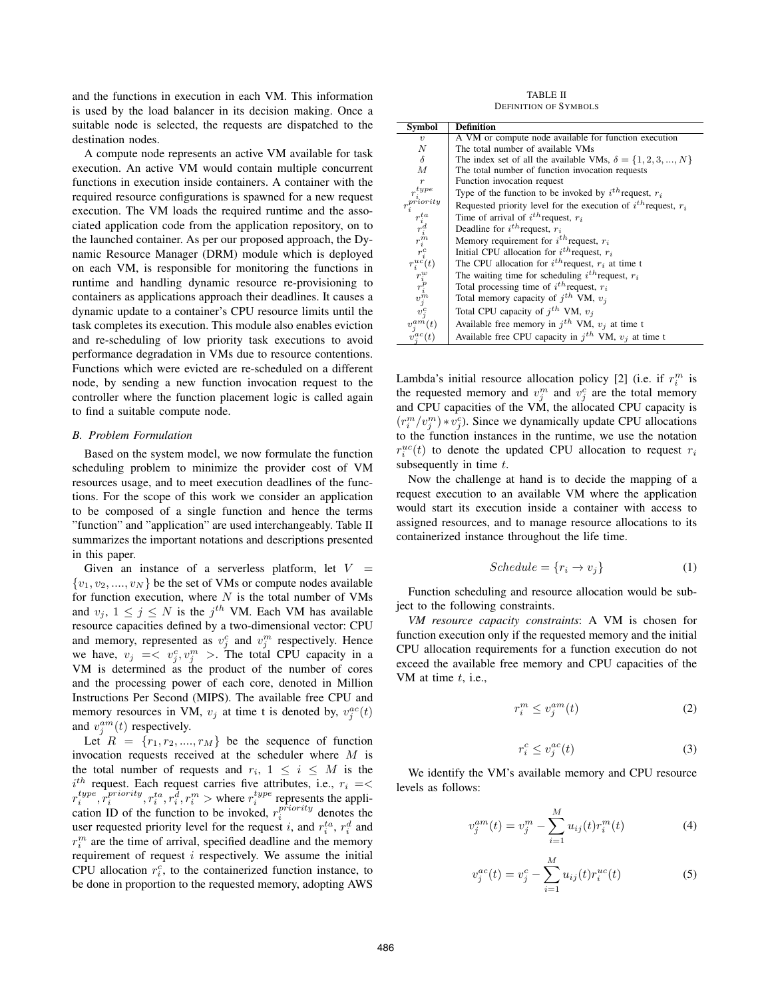and the functions in execution in each VM. This information is used by the load balancer in its decision making. Once a suitable node is selected, the requests are dispatched to the destination nodes.

A compute node represents an active VM available for task execution. An active VM would contain multiple concurrent functions in execution inside containers. A container with the required resource configurations is spawned for a new request execution. The VM loads the required runtime and the associated application code from the application repository, on to the launched container. As per our proposed approach, the Dynamic Resource Manager (DRM) module which is deployed on each VM, is responsible for monitoring the functions in runtime and handling dynamic resource re-provisioning to containers as applications approach their deadlines. It causes a dynamic update to a container's CPU resource limits until the task completes its execution. This module also enables eviction and re-scheduling of low priority task executions to avoid performance degradation in VMs due to resource contentions. Functions which were evicted are re-scheduled on a different node, by sending a new function invocation request to the controller where the function placement logic is called again to find a suitable compute node.

## *B. Problem Formulation*

Based on the system model, we now formulate the function scheduling problem to minimize the provider cost of VM resources usage, and to meet execution deadlines of the functions. For the scope of this work we consider an application to be composed of a single function and hence the terms "function" and "application" are used interchangeably. Table II summarizes the important notations and descriptions presented in this paper.

Given an instance of a serverless platform, let  $V =$  $\{v_1, v_2, \ldots, v_N\}$  be the set of VMs or compute nodes available for function execution, where  $N$  is the total number of VMs and  $v_j$ ,  $1 \leq j \leq N$  is the  $j^{th}$  VM. Each VM has available resource capacities defined by a two-dimensional vector: CPU and memory, represented as  $v_j^c$  and  $v_j^m$  respectively. Hence we have,  $v_j \leq v_j^c, v_j^m >$ . The total CPU capacity in a VM is determined as the product of the number of cores and the processing power of each core, denoted in Million Instructions Per Second (MIPS). The available free CPU and memory resources in VM,  $v_j$  at time t is denoted by,  $v_j^{ac}(t)$ and  $v_j^{am}(t)$  respectively.

Let  $R = \{r_1, r_2, ..., r_M\}$  be the sequence of function invocation requests received at the scheduler where M is the total number of requests and  $r_i$ ,  $1 \leq i \leq M$  is the  $i^{th}$  request. Each request carries five attributes, i.e.,  $r_i = \lt$  $r_i^{type}, \hat{r}_i^{priority}, r_i^{ta}, r_i^{\hat{d}}, r_i^m >$  where  $r_i^{type}$  represents the application ID of the function to be invoked,  $r_i^{priority}$  denotes the user requested priority level for the request *i*, and  $r_i^{ta}$ ,  $r_i^d$  and  $r_i^m$  are the time of arrival, specified deadline and the memory requirement of request  $i$  respectively. We assume the initial CPU allocation  $r_i^c$ , to the containerized function instance, to be done in proportion to the requested memory, adopting AWS

TABLE II DEFINITION OF SYMBOLS

| Symbol                                                                                                                                                                                                           | <b>Definition</b>                                                     |  |  |  |
|------------------------------------------------------------------------------------------------------------------------------------------------------------------------------------------------------------------|-----------------------------------------------------------------------|--|--|--|
| $\boldsymbol{v}$                                                                                                                                                                                                 | A VM or compute node available for function execution                 |  |  |  |
| N                                                                                                                                                                                                                | The total number of available VMs                                     |  |  |  |
| $\delta$                                                                                                                                                                                                         | The index set of all the available VMs, $\delta = \{1, 2, 3, , N\}$   |  |  |  |
| М                                                                                                                                                                                                                | The total number of function invocation requests                      |  |  |  |
| $\boldsymbol{r}$                                                                                                                                                                                                 | Function invocation request                                           |  |  |  |
| $r_i^{type}$                                                                                                                                                                                                     | Type of the function to be invoked by $i^{th}$ request, $r_i$         |  |  |  |
|                                                                                                                                                                                                                  | Requested priority level for the execution of $i^{th}$ request, $r_i$ |  |  |  |
|                                                                                                                                                                                                                  | Time of arrival of $i^{th}$ request, $r_i$                            |  |  |  |
|                                                                                                                                                                                                                  | Deadline for $i^{th}$ request, $r_i$                                  |  |  |  |
|                                                                                                                                                                                                                  | Memory requirement for $i^{th}$ request, $r_i$                        |  |  |  |
|                                                                                                                                                                                                                  | Initial CPU allocation for $i^{th}$ request, $r_i$                    |  |  |  |
|                                                                                                                                                                                                                  | The CPU allocation for $i^{th}$ request, $r_i$ at time t              |  |  |  |
|                                                                                                                                                                                                                  | The waiting time for scheduling $i^{th}$ request, $r_i$               |  |  |  |
|                                                                                                                                                                                                                  | Total processing time of $i^{th}$ request, $r_i$                      |  |  |  |
|                                                                                                                                                                                                                  | Total memory capacity of $i^{th}$ VM, $v_i$                           |  |  |  |
| $r_i^{priority} \ \begin{matrix} r_i^{ta} & r_i^{ta} \ r_i^{ta} & r_i^{ta} \ r_i^{ra} & r_i^{ra} \ r_i^{uc}(t) & r_i^{uc} \ r_i^{uc}(t) & r_i^{pv} \ r_i^{p} & v_j^{n} \ v_j^{ca}(t) & v_j^{am}(t) \end{matrix}$ | Total CPU capacity of $j^{th}$ VM, $v_j$                              |  |  |  |
|                                                                                                                                                                                                                  | Available free memory in $j^{th}$ VM, $v_j$ at time t                 |  |  |  |
| $v_i^{ac}(t)$                                                                                                                                                                                                    | Available free CPU capacity in $i^{th}$ VM, $v_i$ at time t           |  |  |  |

Lambda's initial resource allocation policy [2] (i.e. if  $r_i^m$  is the requested memory and  $v_j^m$  and  $v_j^c$  are the total memory and CPU capacities of the VM, the allocated CPU capacity is  $(r_i^m/v_j^m) * v_j^c$ ). Since we dynamically update CPU allocations to the function instances in the runtime, we use the notation  $r_i^{uc}(t)$  to denote the updated CPU allocation to request  $r_i$ subsequently in time  $t$ .

Now the challenge at hand is to decide the mapping of a request execution to an available VM where the application would start its execution inside a container with access to assigned resources, and to manage resource allocations to its containerized instance throughout the life time.

$$
Scheduling = \{r_i \to v_j\} \tag{1}
$$

Function scheduling and resource allocation would be subject to the following constraints.

*VM resource capacity constraints*: A VM is chosen for function execution only if the requested memory and the initial CPU allocation requirements for a function execution do not exceed the available free memory and CPU capacities of the VM at time  $t$ , i.e.,

$$
r_i^m \le v_j^{am}(t) \tag{2}
$$

$$
r_i^c \le v_j^{ac}(t) \tag{3}
$$

We identify the VM's available memory and CPU resource levels as follows:

$$
v_j^{am}(t) = v_j^m - \sum_{i=1}^M u_{ij}(t) r_i^m(t)
$$
 (4)

$$
v_j^{ac}(t) = v_j^c - \sum_{i=1}^M u_{ij}(t) r_i^{uc}(t)
$$
\n(5)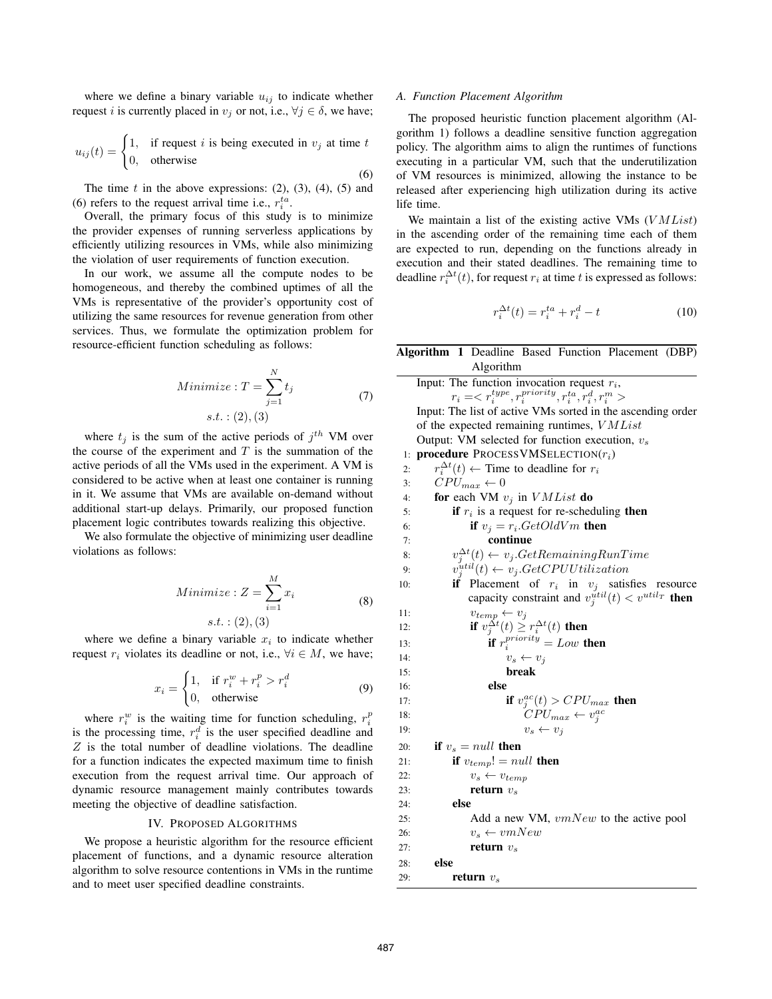where we define a binary variable  $u_{ij}$  to indicate whether request *i* is currently placed in  $v_j$  or not, i.e.,  $\forall j \in \delta$ , we have;

$$
u_{ij}(t) = \begin{cases} 1, & \text{if request } i \text{ is being executed in } v_j \text{ at time } t \\ 0, & \text{otherwise} \end{cases}
$$

The time  $t$  in the above expressions: (2), (3), (4), (5) and (6) refers to the request arrival time i.e.,  $r_i^{ta}$ .

Overall, the primary focus of this study is to minimize the provider expenses of running serverless applications by efficiently utilizing resources in VMs, while also minimizing the violation of user requirements of function execution.

In our work, we assume all the compute nodes to be homogeneous, and thereby the combined uptimes of all the VMs is representative of the provider's opportunity cost of utilizing the same resources for revenue generation from other services. Thus, we formulate the optimization problem for resource-efficient function scheduling as follows:

$$
Minimize: T = \sum_{j=1}^{N} t_j
$$
  
s.t. : (2), (3) (7)

where  $t_j$  is the sum of the active periods of  $j^{th}$  VM over the course of the experiment and  $T$  is the summation of the active periods of all the VMs used in the experiment. A VM is considered to be active when at least one container is running in it. We assume that VMs are available on-demand without additional start-up delays. Primarily, our proposed function placement logic contributes towards realizing this objective.

We also formulate the objective of minimizing user deadline violations as follows:

$$
Minimize: Z = \sum_{i=1}^{M} x_i
$$
  
s.t. : (2), (3) (8)

where we define a binary variable  $x_i$  to indicate whether request  $r_i$  violates its deadline or not, i.e.,  $\forall i \in M$ , we have;

$$
x_i = \begin{cases} 1, & \text{if } r_i^w + r_i^p > r_i^d \\ 0, & \text{otherwise} \end{cases}
$$
 (9)

where  $r_i^w$  is the waiting time for function scheduling,  $r_i^p$ is the processing time,  $r_i^d$  is the user specified deadline and  $Z$  is the total number of deadline violations. The deadline for a function indicates the expected maximum time to finish execution from the request arrival time. Our approach of dynamic resource management mainly contributes towards meeting the objective of deadline satisfaction.

## IV. PROPOSED ALGORITHMS

We propose a heuristic algorithm for the resource efficient placement of functions, and a dynamic resource alteration algorithm to solve resource contentions in VMs in the runtime and to meet user specified deadline constraints.

#### *A. Function Placement Algorithm*

(6)

The proposed heuristic function placement algorithm (Algorithm 1) follows a deadline sensitive function aggregation policy. The algorithm aims to align the runtimes of functions executing in a particular VM, such that the underutilization of VM resources is minimized, allowing the instance to be released after experiencing high utilization during its active life time.

We maintain a list of the existing active VMs  $(VMList)$ in the ascending order of the remaining time each of them are expected to run, depending on the functions already in execution and their stated deadlines. The remaining time to deadline  $r_i^{\Delta t}(t)$ , for request  $r_i$  at time t is expressed as follows:

$$
r_i^{\Delta t}(t) = r_i^{ta} + r_i^d - t \tag{10}
$$

|     | Algorithm 1 Deadline Based Function Placement (DBP)         |
|-----|-------------------------------------------------------------|
|     | Algorithm                                                   |
|     | Input: The function invocation request $r_i$ ,<br>$r_i = $  |
|     | Input: The list of active VMs sorted in the ascending order |
|     | of the expected remaining runtimes, VMList                  |
|     | Output: VM selected for function execution, $v_s$           |
| 1:  | <b>procedure</b> PROCESSVMSELECTION( $r_i$ )                |
| 2:  | $r_i^{\Delta t}(t) \leftarrow$ Time to deadline for $r_i$   |
| 3:  | $CPU_{max} \leftarrow 0$                                    |
| 4:  | for each VM $v_j$ in $VMList$ do                            |
| 5:  | if $r_i$ is a request for re-scheduling then                |
| 6:  | if $v_i = r_i.GetOldVm$ then                                |
| 7:  | continue                                                    |
| 8:  | $v_j^{\Delta t}(t) \leftarrow v_j.GetRemainingRunTime$      |
| 9:  | $v_i^{util}(t) \leftarrow v_j.GetCPUUtilization$            |
| 10: | Placement of $r_i$ in $v_j$ satisfies resource<br>if        |
|     | capacity constraint and $v_j^{util}(t) < v^{util_T}$ then   |
| 11: | $v_{temp} \leftarrow v_j$                                   |
| 12: | <b>if</b> $v_j^{\Delta t}(t) \geq r_i^{\Delta t}(t)$ then   |
| 13: | if $r_i^{priority} = Low$ then                              |
| 14: | $v_s \leftarrow v_j$                                        |
| 15: | break                                                       |
| 16: | else                                                        |
| 17: | if $v_j^{ac}(t) > CPU_{max}$ then                           |
| 18: | $\tilde{C}PU_{max} \leftarrow v_i^{ac}$                     |
| 19: | $v_s \leftarrow v_i$                                        |
| 20: | if $v_s$ = null then                                        |
| 21: | if $v_{temp}! = null$ then                                  |
| 22: | $v_s \leftarrow v_{temp}$                                   |
| 23: | return $v_s$                                                |
| 24: | else                                                        |
| 25: | Add a new VM, vmNew to the active pool                      |
| 26: | $v_s \leftarrow v mNew$                                     |
| 27: | return $v_s$                                                |
| 28: | else                                                        |
| 29: | return $v_s$                                                |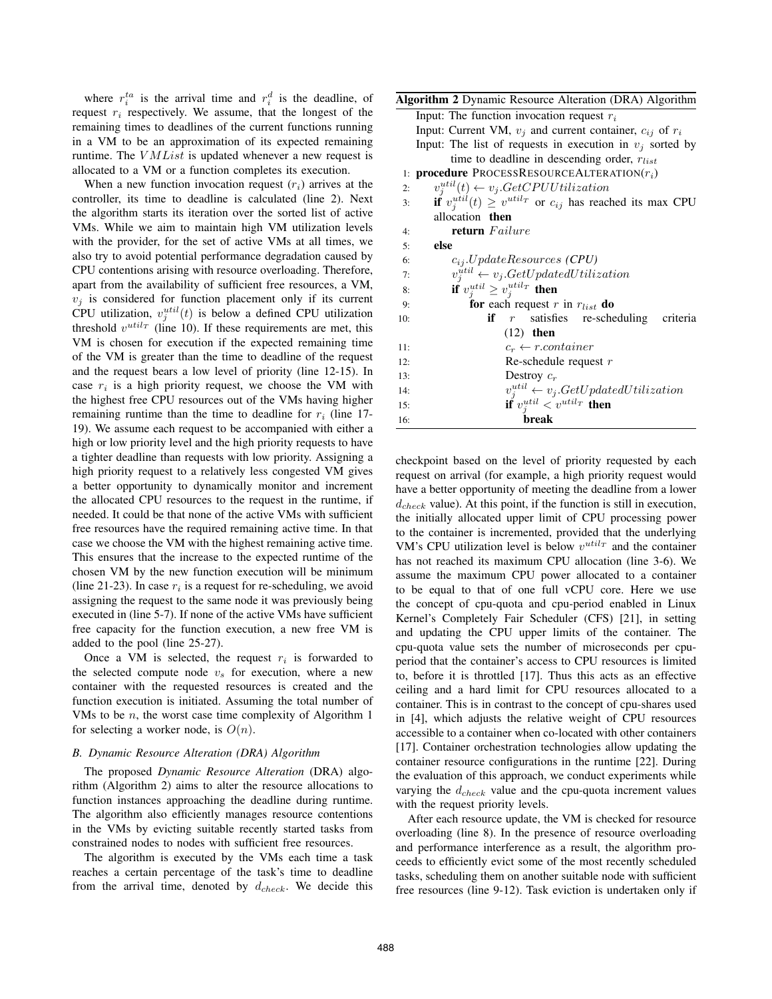where  $r_i^{ta}$  is the arrival time and  $r_i^d$  is the deadline, of request  $r_i$  respectively. We assume, that the longest of the remaining times to deadlines of the current functions running in a VM to be an approximation of its expected remaining runtime. The  $VMList$  is updated whenever a new request is allocated to a VM or a function completes its execution.

When a new function invocation request  $(r<sub>i</sub>)$  arrives at the controller, its time to deadline is calculated (line 2). Next the algorithm starts its iteration over the sorted list of active VMs. While we aim to maintain high VM utilization levels with the provider, for the set of active VMs at all times, we also try to avoid potential performance degradation caused by CPU contentions arising with resource overloading. Therefore, apart from the availability of sufficient free resources, a VM,  $v_i$  is considered for function placement only if its current CPU utilization,  $v_j^{util}(t)$  is below a defined CPU utilization threshold  $v^{util_T}$  (line 10). If these requirements are met, this VM is chosen for execution if the expected remaining time of the VM is greater than the time to deadline of the request and the request bears a low level of priority (line 12-15). In case  $r_i$  is a high priority request, we choose the VM with the highest free CPU resources out of the VMs having higher remaining runtime than the time to deadline for  $r_i$  (line 17-19). We assume each request to be accompanied with either a high or low priority level and the high priority requests to have a tighter deadline than requests with low priority. Assigning a high priority request to a relatively less congested VM gives a better opportunity to dynamically monitor and increment the allocated CPU resources to the request in the runtime, if needed. It could be that none of the active VMs with sufficient free resources have the required remaining active time. In that case we choose the VM with the highest remaining active time. This ensures that the increase to the expected runtime of the chosen VM by the new function execution will be minimum (line 21-23). In case  $r_i$  is a request for re-scheduling, we avoid assigning the request to the same node it was previously being executed in (line 5-7). If none of the active VMs have sufficient free capacity for the function execution, a new free VM is added to the pool (line 25-27).

Once a VM is selected, the request  $r_i$  is forwarded to the selected compute node  $v<sub>s</sub>$  for execution, where a new container with the requested resources is created and the function execution is initiated. Assuming the total number of VMs to be  $n$ , the worst case time complexity of Algorithm 1 for selecting a worker node, is  $O(n)$ .

#### *B. Dynamic Resource Alteration (DRA) Algorithm*

The proposed *Dynamic Resource Alteration* (DRA) algorithm (Algorithm 2) aims to alter the resource allocations to function instances approaching the deadline during runtime. The algorithm also efficiently manages resource contentions in the VMs by evicting suitable recently started tasks from constrained nodes to nodes with sufficient free resources.

The algorithm is executed by the VMs each time a task reaches a certain percentage of the task's time to deadline from the arrival time, denoted by  $d_{check}$ . We decide this

| Algorithm 2 Dynamic Resource Alteration (DRA) Algorithm                     |
|-----------------------------------------------------------------------------|
| Input: The function invocation request $r_i$                                |
| Input: Current VM, $v_j$ and current container, $c_{ij}$ of $r_i$           |
| Input: The list of requests in execution in $v_j$ sorted by                 |
| time to deadline in descending order, $r_{list}$                            |
| 1: <b>procedure</b> PROCESSRESOURCEALTERATION $(r_i)$                       |
| $v_i^{util}(t) \leftarrow v_j.GetCPUUtilization$<br>2:                      |
| if $v_i^{util}(t) \ge v^{util_T}$ or $c_{ij}$ has reached its max CPU<br>3: |
| allocation then                                                             |
| return Failure<br>4:                                                        |
| else<br>5:                                                                  |
| $c_{ij}.UpdateResource(CPU)$<br>6:                                          |
| $v_j^{util} \leftarrow v_j.GetUpdatedUtilization$<br>7:                     |
| if $v_i^{util} \geq v_i^{util}$ then<br>8:                                  |
| for each request r in $r_{list}$ do<br>9:                                   |
| <b>if</b> $r$ satisfies re-scheduling criteria<br>10:                       |
| $(12)$ then                                                                 |
| $c_r \leftarrow r. container$<br>11:                                        |
| Re-schedule request $r$<br>12:                                              |
| Destroy $c_r$<br>13:                                                        |
| $v_j^{util} \leftarrow v_j.GetUpdatedUtilization$<br>14:                    |
| if $v_j^{util} < v^{util_T}$ then<br>15:                                    |
| break<br>16:                                                                |

checkpoint based on the level of priority requested by each request on arrival (for example, a high priority request would have a better opportunity of meeting the deadline from a lower  $d_{check}$  value). At this point, if the function is still in execution, the initially allocated upper limit of CPU processing power to the container is incremented, provided that the underlying VM's CPU utilization level is below  $v^{util_T}$  and the container has not reached its maximum CPU allocation (line 3-6). We assume the maximum CPU power allocated to a container to be equal to that of one full vCPU core. Here we use the concept of cpu-quota and cpu-period enabled in Linux Kernel's Completely Fair Scheduler (CFS) [21], in setting and updating the CPU upper limits of the container. The cpu-quota value sets the number of microseconds per cpuperiod that the container's access to CPU resources is limited to, before it is throttled [17]. Thus this acts as an effective ceiling and a hard limit for CPU resources allocated to a container. This is in contrast to the concept of cpu-shares used in [4], which adjusts the relative weight of CPU resources accessible to a container when co-located with other containers [17]. Container orchestration technologies allow updating the container resource configurations in the runtime [22]. During the evaluation of this approach, we conduct experiments while varying the  $d_{check}$  value and the cpu-quota increment values with the request priority levels.

After each resource update, the VM is checked for resource overloading (line 8). In the presence of resource overloading and performance interference as a result, the algorithm proceeds to efficiently evict some of the most recently scheduled tasks, scheduling them on another suitable node with sufficient free resources (line 9-12). Task eviction is undertaken only if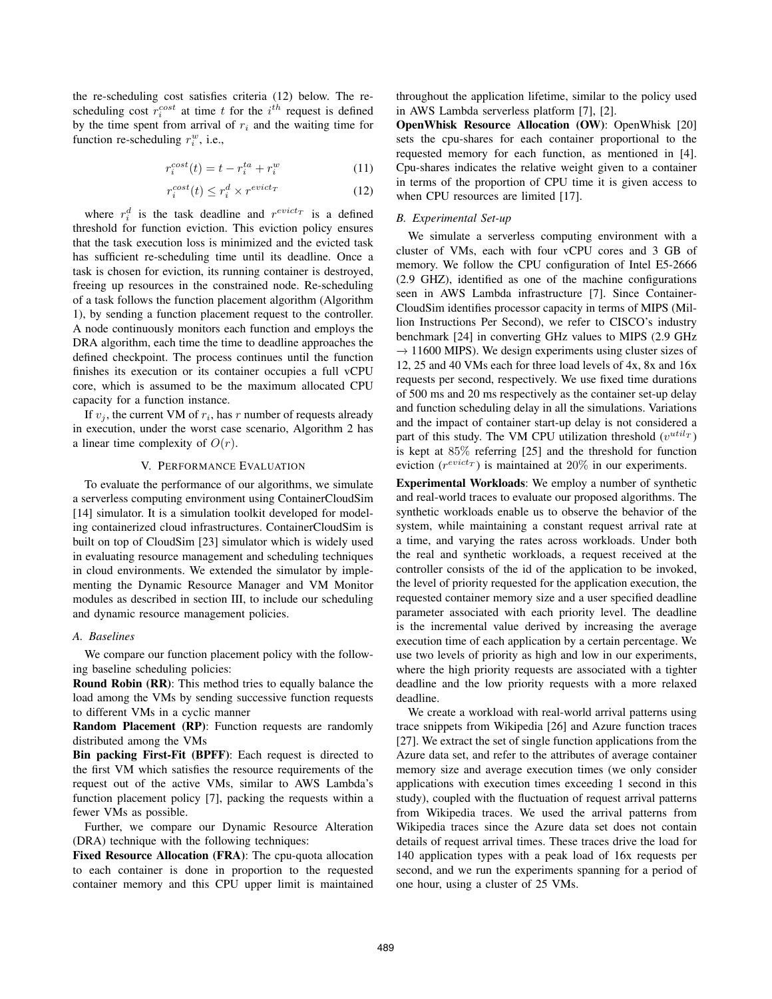the re-scheduling cost satisfies criteria (12) below. The rescheduling cost  $r_i^{cost}$  at time t for the  $i^{th}$  request is defined by the time spent from arrival of  $r_i$  and the waiting time for function re-scheduling  $r_i^w$ , i.e.,

$$
r_i^{cost}(t) = t - r_i^{ta} + r_i^w \tag{11}
$$

$$
r_i^{cost}(t) \le r_i^d \times r^{evict_T} \tag{12}
$$

where  $r_i^d$  is the task deadline and  $r^{evict}$  is a defined threshold for function eviction. This eviction policy ensures that the task execution loss is minimized and the evicted task has sufficient re-scheduling time until its deadline. Once a task is chosen for eviction, its running container is destroyed, freeing up resources in the constrained node. Re-scheduling of a task follows the function placement algorithm (Algorithm 1), by sending a function placement request to the controller. A node continuously monitors each function and employs the DRA algorithm, each time the time to deadline approaches the defined checkpoint. The process continues until the function finishes its execution or its container occupies a full vCPU core, which is assumed to be the maximum allocated CPU capacity for a function instance.

If  $v_j$ , the current VM of  $r_i$ , has r number of requests already in execution, under the worst case scenario, Algorithm 2 has a linear time complexity of  $O(r)$ .

## V. PERFORMANCE EVALUATION

To evaluate the performance of our algorithms, we simulate a serverless computing environment using ContainerCloudSim [14] simulator. It is a simulation toolkit developed for modeling containerized cloud infrastructures. ContainerCloudSim is built on top of CloudSim [23] simulator which is widely used in evaluating resource management and scheduling techniques in cloud environments. We extended the simulator by implementing the Dynamic Resource Manager and VM Monitor modules as described in section III, to include our scheduling and dynamic resource management policies.

#### *A. Baselines*

We compare our function placement policy with the following baseline scheduling policies:

Round Robin (RR): This method tries to equally balance the load among the VMs by sending successive function requests to different VMs in a cyclic manner

Random Placement (RP): Function requests are randomly distributed among the VMs

Bin packing First-Fit (BPFF): Each request is directed to the first VM which satisfies the resource requirements of the request out of the active VMs, similar to AWS Lambda's function placement policy [7], packing the requests within a fewer VMs as possible.

Further, we compare our Dynamic Resource Alteration (DRA) technique with the following techniques:

Fixed Resource Allocation (FRA): The cpu-quota allocation to each container is done in proportion to the requested container memory and this CPU upper limit is maintained throughout the application lifetime, similar to the policy used in AWS Lambda serverless platform [7], [2].

OpenWhisk Resource Allocation (OW): OpenWhisk [20] sets the cpu-shares for each container proportional to the requested memory for each function, as mentioned in [4]. Cpu-shares indicates the relative weight given to a container in terms of the proportion of CPU time it is given access to when CPU resources are limited [17].

### *B. Experimental Set-up*

We simulate a serverless computing environment with a cluster of VMs, each with four vCPU cores and 3 GB of memory. We follow the CPU configuration of Intel E5-2666 (2.9 GHZ), identified as one of the machine configurations seen in AWS Lambda infrastructure [7]. Since Container-CloudSim identifies processor capacity in terms of MIPS (Million Instructions Per Second), we refer to CISCO's industry benchmark [24] in converting GHz values to MIPS (2.9 GHz  $\rightarrow$  11600 MIPS). We design experiments using cluster sizes of 12, 25 and 40 VMs each for three load levels of 4x, 8x and 16x requests per second, respectively. We use fixed time durations of 500 ms and 20 ms respectively as the container set-up delay and function scheduling delay in all the simulations. Variations and the impact of container start-up delay is not considered a part of this study. The VM CPU utilization threshold  $(v^{util_T})$ is kept at 85% referring [25] and the threshold for function eviction  $(r^{evict_T})$  is maintained at 20% in our experiments.

Experimental Workloads: We employ a number of synthetic and real-world traces to evaluate our proposed algorithms. The synthetic workloads enable us to observe the behavior of the system, while maintaining a constant request arrival rate at a time, and varying the rates across workloads. Under both the real and synthetic workloads, a request received at the controller consists of the id of the application to be invoked, the level of priority requested for the application execution, the requested container memory size and a user specified deadline parameter associated with each priority level. The deadline is the incremental value derived by increasing the average execution time of each application by a certain percentage. We use two levels of priority as high and low in our experiments, where the high priority requests are associated with a tighter deadline and the low priority requests with a more relaxed deadline.

We create a workload with real-world arrival patterns using trace snippets from Wikipedia [26] and Azure function traces [27]. We extract the set of single function applications from the Azure data set, and refer to the attributes of average container memory size and average execution times (we only consider applications with execution times exceeding 1 second in this study), coupled with the fluctuation of request arrival patterns from Wikipedia traces. We used the arrival patterns from Wikipedia traces since the Azure data set does not contain details of request arrival times. These traces drive the load for 140 application types with a peak load of 16x requests per second, and we run the experiments spanning for a period of one hour, using a cluster of 25 VMs.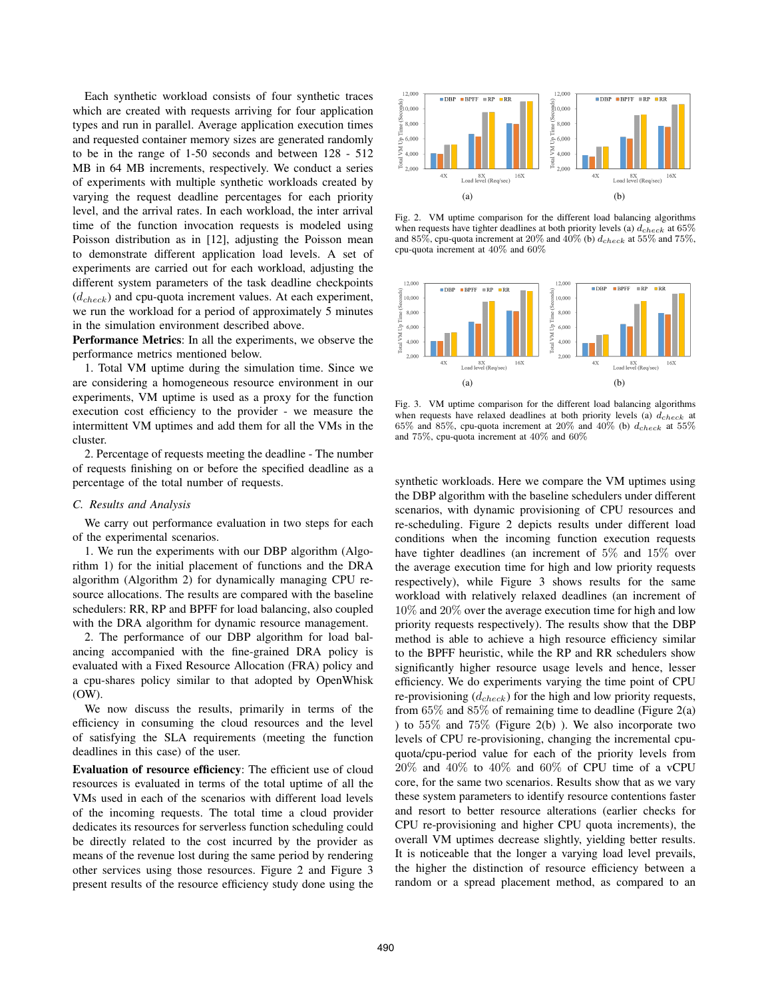Each synthetic workload consists of four synthetic traces which are created with requests arriving for four application types and run in parallel. Average application execution times and requested container memory sizes are generated randomly to be in the range of 1-50 seconds and between 128 - 512 MB in 64 MB increments, respectively. We conduct a series of experiments with multiple synthetic workloads created by varying the request deadline percentages for each priority level, and the arrival rates. In each workload, the inter arrival time of the function invocation requests is modeled using Poisson distribution as in [12], adjusting the Poisson mean to demonstrate different application load levels. A set of experiments are carried out for each workload, adjusting the different system parameters of the task deadline checkpoints  $(d_{check})$  and cpu-quota increment values. At each experiment, we run the workload for a period of approximately 5 minutes in the simulation environment described above.

Performance Metrics: In all the experiments, we observe the performance metrics mentioned below.

1. Total VM uptime during the simulation time. Since we are considering a homogeneous resource environment in our experiments, VM uptime is used as a proxy for the function execution cost efficiency to the provider - we measure the intermittent VM uptimes and add them for all the VMs in the cluster.

2. Percentage of requests meeting the deadline - The number of requests finishing on or before the specified deadline as a percentage of the total number of requests.

### *C. Results and Analysis*

We carry out performance evaluation in two steps for each of the experimental scenarios.

1. We run the experiments with our DBP algorithm (Algorithm 1) for the initial placement of functions and the DRA algorithm (Algorithm 2) for dynamically managing CPU resource allocations. The results are compared with the baseline schedulers: RR, RP and BPFF for load balancing, also coupled with the DRA algorithm for dynamic resource management.

2. The performance of our DBP algorithm for load balancing accompanied with the fine-grained DRA policy is evaluated with a Fixed Resource Allocation (FRA) policy and a cpu-shares policy similar to that adopted by OpenWhisk (OW).

We now discuss the results, primarily in terms of the efficiency in consuming the cloud resources and the level of satisfying the SLA requirements (meeting the function deadlines in this case) of the user.

Evaluation of resource efficiency: The efficient use of cloud resources is evaluated in terms of the total uptime of all the VMs used in each of the scenarios with different load levels of the incoming requests. The total time a cloud provider dedicates its resources for serverless function scheduling could be directly related to the cost incurred by the provider as means of the revenue lost during the same period by rendering other services using those resources. Figure 2 and Figure 3 present results of the resource efficiency study done using the



Fig. 2. VM uptime comparison for the different load balancing algorithms when requests have tighter deadlines at both priority levels (a)  $d_{check}$  at 65% and 85%, cpu-quota increment at 20% and 40% (b)  $d_{check}$  at 55% and 75%, cpu-quota increment at 40% and 60%



Fig. 3. VM uptime comparison for the different load balancing algorithms when requests have relaxed deadlines at both priority levels (a)  $\ddot{d}_{check}$  at 65% and 85%, cpu-quota increment at 20% and 40% (b)  $d_{check}$  at 55% and 75%, cpu-quota increment at 40% and 60%

synthetic workloads. Here we compare the VM uptimes using the DBP algorithm with the baseline schedulers under different scenarios, with dynamic provisioning of CPU resources and re-scheduling. Figure 2 depicts results under different load conditions when the incoming function execution requests have tighter deadlines (an increment of 5% and 15% over the average execution time for high and low priority requests respectively), while Figure 3 shows results for the same workload with relatively relaxed deadlines (an increment of 10% and 20% over the average execution time for high and low priority requests respectively). The results show that the DBP method is able to achieve a high resource efficiency similar to the BPFF heuristic, while the RP and RR schedulers show significantly higher resource usage levels and hence, lesser efficiency. We do experiments varying the time point of CPU re-provisioning  $(d_{check})$  for the high and low priority requests, from 65% and 85% of remaining time to deadline (Figure 2(a) ) to 55% and 75% (Figure 2(b) ). We also incorporate two levels of CPU re-provisioning, changing the incremental cpuquota/cpu-period value for each of the priority levels from 20% and 40% to 40% and 60% of CPU time of a vCPU core, for the same two scenarios. Results show that as we vary these system parameters to identify resource contentions faster and resort to better resource alterations (earlier checks for CPU re-provisioning and higher CPU quota increments), the overall VM uptimes decrease slightly, yielding better results. It is noticeable that the longer a varying load level prevails, the higher the distinction of resource efficiency between a random or a spread placement method, as compared to an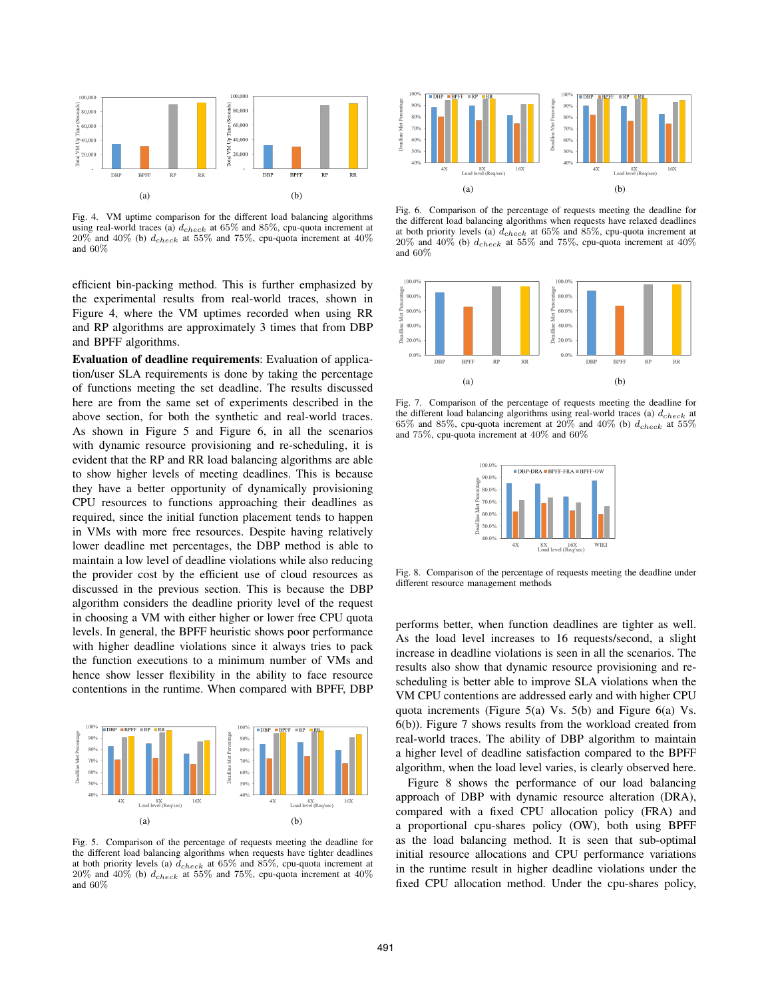

Fig. 4. VM uptime comparison for the different load balancing algorithms using real-world traces (a)  $d_{check}$  at 65% and 85%, cpu-quota increment at 20% and 40% (b)  $d_{check}$  at 55% and 75%, cpu-quota increment at 40% and 60%

efficient bin-packing method. This is further emphasized by the experimental results from real-world traces, shown in Figure 4, where the VM uptimes recorded when using RR and RP algorithms are approximately 3 times that from DBP and BPFF algorithms.

Evaluation of deadline requirements: Evaluation of application/user SLA requirements is done by taking the percentage of functions meeting the set deadline. The results discussed here are from the same set of experiments described in the above section, for both the synthetic and real-world traces. As shown in Figure 5 and Figure 6, in all the scenarios with dynamic resource provisioning and re-scheduling, it is evident that the RP and RR load balancing algorithms are able to show higher levels of meeting deadlines. This is because they have a better opportunity of dynamically provisioning CPU resources to functions approaching their deadlines as required, since the initial function placement tends to happen in VMs with more free resources. Despite having relatively lower deadline met percentages, the DBP method is able to maintain a low level of deadline violations while also reducing the provider cost by the efficient use of cloud resources as discussed in the previous section. This is because the DBP algorithm considers the deadline priority level of the request in choosing a VM with either higher or lower free CPU quota levels. In general, the BPFF heuristic shows poor performance with higher deadline violations since it always tries to pack the function executions to a minimum number of VMs and hence show lesser flexibility in the ability to face resource contentions in the runtime. When compared with BPFF, DBP



Fig. 5. Comparison of the percentage of requests meeting the deadline for the different load balancing algorithms when requests have tighter deadlines at both priority levels (a)  $\bar{d}_{check}$  at 65% and 85%, cpu-quota increment at  $20\%$  and  $40\%$  (b)  $d_{check}$  at  $55\%$  and  $75\%$ , cpu-quota increment at  $40\%$ and 60%



Fig. 6. Comparison of the percentage of requests meeting the deadline for the different load balancing algorithms when requests have relaxed deadlines at both priority levels (a)  $d_{check}$  at 65% and 85%, cpu-quota increment at  $20\%$  and  $40\%$  (b)  $d_{check}$  at 55% and 75%, cpu-quota increment at  $40\%$ and 60%



Fig. 7. Comparison of the percentage of requests meeting the deadline for the different load balancing algorithms using real-world traces (a)  $d_{check}$  at  $65\%$  and  $85\%$ , cpu-quota increment at  $20\%$  and  $40\%$  (b)  $d_{check}$  at  $55\%$ and 75%, cpu-quota increment at 40% and 60%



Fig. 8. Comparison of the percentage of requests meeting the deadline under different resource management methods

performs better, when function deadlines are tighter as well. As the load level increases to 16 requests/second, a slight increase in deadline violations is seen in all the scenarios. The results also show that dynamic resource provisioning and rescheduling is better able to improve SLA violations when the VM CPU contentions are addressed early and with higher CPU quota increments (Figure 5(a) Vs. 5(b) and Figure 6(a) Vs. 6(b)). Figure 7 shows results from the workload created from real-world traces. The ability of DBP algorithm to maintain a higher level of deadline satisfaction compared to the BPFF algorithm, when the load level varies, is clearly observed here.

Figure 8 shows the performance of our load balancing approach of DBP with dynamic resource alteration (DRA), compared with a fixed CPU allocation policy (FRA) and a proportional cpu-shares policy (OW), both using BPFF as the load balancing method. It is seen that sub-optimal initial resource allocations and CPU performance variations in the runtime result in higher deadline violations under the fixed CPU allocation method. Under the cpu-shares policy,